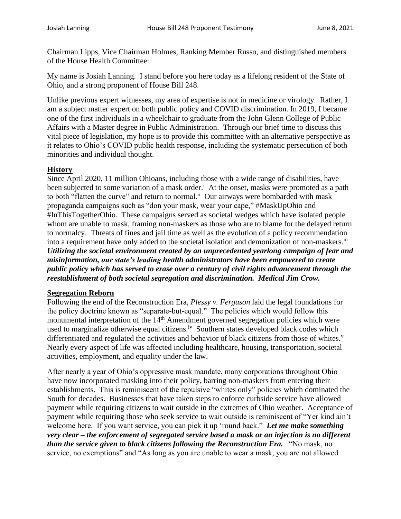Chairman Lipps, Vice Chairman Holmes, Ranking Member Russo, and distinguished members of the House Health Committee:

My name is Josiah Lanning. I stand before you here today as a lifelong resident of the State of Ohio, and a strong proponent of House Bill 248.

Unlike previous expert witnesses, my area of expertise is not in medicine or virology. Rather, I am a subject matter expert on both public policy and COVID discrimination. In 2019, I became one of the first individuals in a wheelchair to graduate from the John Glenn College of Public Affairs with a Master degree in Public Administration. Through our brief time to discuss this vital piece of legislation, my hope is to provide this committee with an alternative perspective as it relates to Ohio's COVID public health response, including the systematic persecution of both minorities and individual thought.

## **History**

Since April 2020, 11 million Ohioans, including those with a wide range of disabilities, have been subjected to some variation of a mask order.<sup>i</sup> At the onset, masks were promoted as a path to both "flatten the curve" and return to normal.<sup>ii</sup> Our airways were bombarded with mask propaganda campaigns such as "don your mask, wear your cape," #MaskUpOhio and #InThisTogetherOhio. These campaigns served as societal wedges which have isolated people whom are unable to mask, framing non-maskers as those who are to blame for the delayed return to normalcy. Threats of fines and jail time as well as the evolution of a policy recommendation into a requirement have only added to the societal isolation and demonization of non-maskers.<sup>iii</sup> *Utilizing the societal environment created by an unprecedented yearlong campaign of fear and misinformation, our state's leading health administrators have been empowered to create public policy which has served to erase over a century of civil rights advancement through the reestablishment of both societal segregation and discrimination. Medical Jim Crow.*

## **Segregation Reborn**

Following the end of the Reconstruction Era*, Plessy v. Ferguson* laid the legal foundations for the policy doctrine known as "separate-but-equal." The policies which would follow this monumental interpretation of the 14<sup>th</sup> Amendment governed segregation policies which were used to marginalize otherwise equal citizens.<sup>iv</sup> Southern states developed black codes which differentiated and regulated the activities and behavior of black citizens from those of whites.<sup>v</sup> Nearly every aspect of life was affected including healthcare, housing, transportation, societal activities, employment, and equality under the law.

After nearly a year of Ohio's oppressive mask mandate, many corporations throughout Ohio have now incorporated masking into their policy, barring non-maskers from entering their establishments. This is reminiscent of the repulsive "whites only" policies which dominated the South for decades. Businesses that have taken steps to enforce curbside service have allowed payment while requiring citizens to wait outside in the extremes of Ohio weather.Acceptance of payment while requiring those who seek service to wait outside is reminiscent of "Yer kind ain't welcome here. If you want service, you can pick it up 'round back." *Let me make something very clear – the enforcement of segregated service based a mask or an injection is no different than the service given to black citizens following the Reconstruction Era.* "No mask, no service, no exemptions" and "As long as you are unable to wear a mask, you are not allowed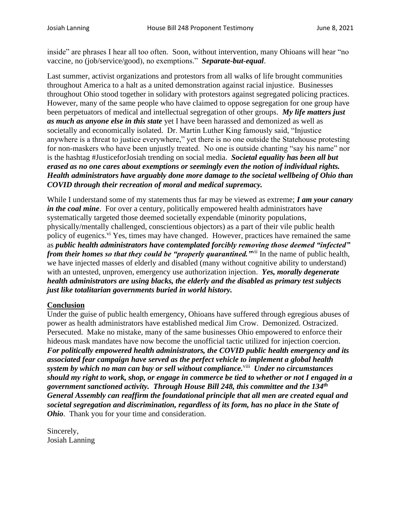inside" are phrases I hear all too often. Soon, without intervention, many Ohioans will hear "no vaccine, no (job/service/good), no exemptions." *Separate-but-equal*.

Last summer, activist organizations and protestors from all walks of life brought communities throughout America to a halt as a united demonstration against racial injustice. Businesses throughout Ohio stood together in solidary with protestors against segregated policing practices. However, many of the same people who have claimed to oppose segregation for one group have been perpetuators of medical and intellectual segregation of other groups. *My life matters just as much as anyone else in this state* yet I have been harassed and demonized as well as societally and economically isolated. Dr. Martin Luther King famously said, "Injustice anywhere is a threat to justice everywhere," yet there is no one outside the Statehouse protesting for non-maskers who have been unjustly treated. No one is outside chanting "say his name" nor is the hashtag #JusticeforJosiah trending on social media. *Societal equality has been all but erased as no one cares about exemptions or seemingly even the notion of individual rights. Health administrators have arguably done more damage to the societal wellbeing of Ohio than COVID through their recreation of moral and medical supremacy.* 

While I understand some of my statements thus far may be viewed as extreme; *I am your canary in the coal mine*. For over a century, politically empowered health administrators have systematically targeted those deemed societally expendable (minority populations, physically/mentally challenged, conscientious objectors) as a part of their vile public health policy of eugenics.<sup>vi</sup> Yes, times may have changed. However, practices have remained the same as *public health administrators have contemplated forcibly removing those deemed "infected" from their homes so that they could be "properly quarantined.*"<sup>i</sup> In the name of public health, we have injected masses of elderly and disabled (many without cognitive ability to understand) with an untested, unproven, emergency use authorization injection. *Yes, morally degenerate health administrators are using blacks, the elderly and the disabled as primary test subjects just like totalitarian governments buried in world history.*

## **Conclusion**

Under the guise of public health emergency, Ohioans have suffered through egregious abuses of power as health administrators have established medical Jim Crow. Demonized. Ostracized. Persecuted. Make no mistake, many of the same businesses Ohio empowered to enforce their hideous mask mandates have now become the unofficial tactic utilized for injection coercion. *For politically empowered health administrators, the COVID public health emergency and its associated fear campaign have served as the perfect vehicle to implement a global health system by which no man can buy or sell without compliance.*viii  *Under no circumstances should my right to work, shop, or engage in commerce be tied to whether or not I engaged in a government sanctioned activity. Through House Bill 248, this committee and the 134th General Assembly can reaffirm the foundational principle that all men are created equal and societal segregation and discrimination, regardless of its form, has no place in the State of Ohio*. Thank you for your time and consideration.

Sincerely, Josiah Lanning